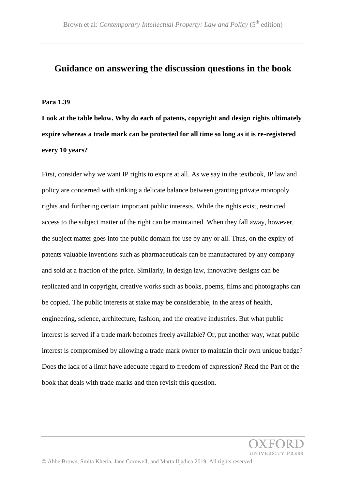# **Guidance on answering the discussion questions in the book**

#### **Para 1.39**

**Look at the table below. Why do each of patents, copyright and design rights ultimately expire whereas a trade mark can be protected for all time so long as it is re-registered every 10 years?**

First, consider why we want IP rights to expire at all. As we say in the textbook, IP law and policy are concerned with striking a delicate balance between granting private monopoly rights and furthering certain important public interests. While the rights exist, restricted access to the subject matter of the right can be maintained. When they fall away, however, the subject matter goes into the public domain for use by any or all. Thus, on the expiry of patents valuable inventions such as pharmaceuticals can be manufactured by any company and sold at a fraction of the price. Similarly, in design law, innovative designs can be replicated and in copyright, creative works such as books, poems, films and photographs can be copied. The public interests at stake may be considerable, in the areas of health, engineering, science, architecture, fashion, and the creative industries. But what public interest is served if a trade mark becomes freely available? Or, put another way, what public interest is compromised by allowing a trade mark owner to maintain their own unique badge? Does the lack of a limit have adequate regard to freedom of expression? Read the Part of the book that deals with trade marks and then revisit this question.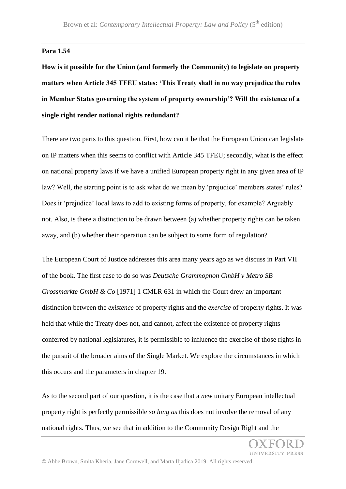## **Para 1.54**

**How is it possible for the Union (and formerly the Community) to legislate on property matters when Article 345 TFEU states: 'This Treaty shall in no way prejudice the rules in Member States governing the system of property ownership'? Will the existence of a single right render national rights redundant?**

There are two parts to this question. First, how can it be that the European Union can legislate on IP matters when this seems to conflict with Article 345 TFEU; secondly, what is the effect on national property laws if we have a unified European property right in any given area of IP law? Well, the starting point is to ask what do we mean by 'prejudice' members states' rules? Does it 'prejudice' local laws to add to existing forms of property, for example? Arguably not. Also, is there a distinction to be drawn between (a) whether property rights can be taken away, and (b) whether their operation can be subject to some form of regulation?

The European Court of Justice addresses this area many years ago as we discuss in Part VII of the book. The first case to do so was *Deutsche Grammophon GmbH v Metro SB Grossmarkte GmbH & Co* [1971] 1 CMLR 631 in which the Court drew an important distinction between the *existence* of property rights and the *exercise* of property rights. It was held that while the Treaty does not, and cannot, affect the existence of property rights conferred by national legislatures, it is permissible to influence the exercise of those rights in the pursuit of the broader aims of the Single Market. We explore the circumstances in which this occurs and the parameters in chapter 19.

As to the second part of our question, it is the case that a *new* unitary European intellectual property right is perfectly permissible *so long as* this does not involve the removal of any national rights. Thus, we see that in addition to the Community Design Right and the

*INIVERSITY PRESS*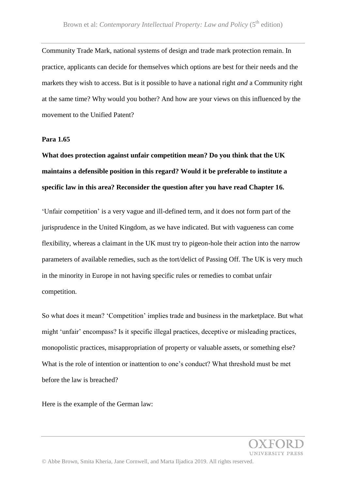Community Trade Mark, national systems of design and trade mark protection remain. In practice, applicants can decide for themselves which options are best for their needs and the markets they wish to access. But is it possible to have a national right *and* a Community right at the same time? Why would you bother? And how are your views on this influenced by the movement to the Unified Patent?

### **Para 1.65**

# **What does protection against unfair competition mean? Do you think that the UK maintains a defensible position in this regard? Would it be preferable to institute a specific law in this area? Reconsider the question after you have read Chapter 16.**

'Unfair competition' is a very vague and ill-defined term, and it does not form part of the jurisprudence in the United Kingdom, as we have indicated. But with vagueness can come flexibility, whereas a claimant in the UK must try to pigeon-hole their action into the narrow parameters of available remedies, such as the tort/delict of Passing Off. The UK is very much in the minority in Europe in not having specific rules or remedies to combat unfair competition.

So what does it mean? 'Competition' implies trade and business in the marketplace. But what might 'unfair' encompass? Is it specific illegal practices, deceptive or misleading practices, monopolistic practices, misappropriation of property or valuable assets, or something else? What is the role of intention or inattention to one's conduct? What threshold must be met before the law is breached?

Here is the example of the German law: